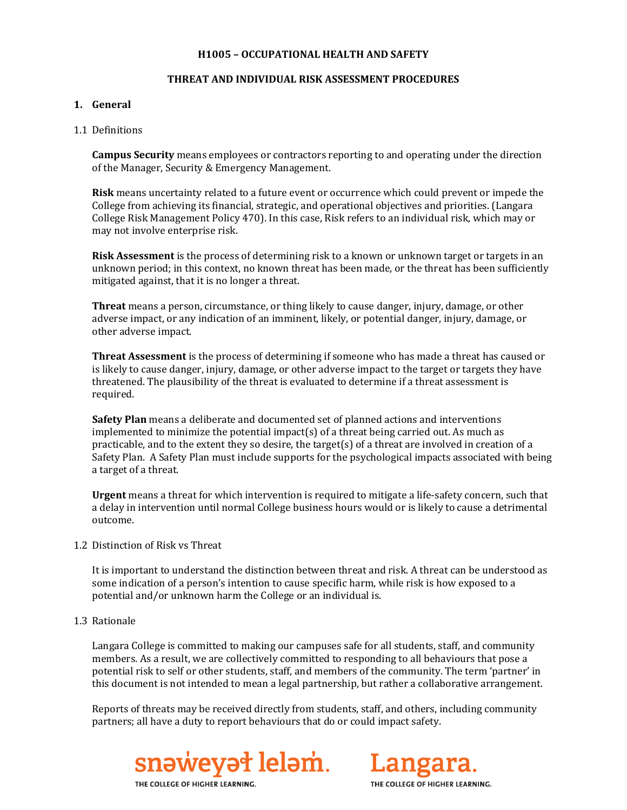#### **H1005 – OCCUPATIONAL HEALTH AND SAFETY**

### **THREAT AND INDIVIDUAL RISK ASSESSMENT PROCEDURES**

### **1. General**

### 1.1 Definitions

**Campus Security** means employees or contractors reporting to and operating under the direction of the Manager, Security & Emergency Management.

**Risk** means uncertainty related to a future event or occurrence which could prevent or impede the College from achieving its financial, strategic, and operational objectives and priorities. (Langara College Risk Management Policy 470). In this case, Risk refers to an individual risk, which may or may not involve enterprise risk.

**Risk Assessment** is the process of determining risk to a known or unknown target or targets in an unknown period; in this context, no known threat has been made, or the threat has been sufficiently mitigated against, that it is no longer a threat.

**Threat** means a person, circumstance, or thing likely to cause danger, injury, damage, or other adverse impact, or any indication of an imminent, likely, or potential danger, injury, damage, or other adverse impact.

**Threat Assessment** is the process of determining if someone who has made a threat has caused or is likely to cause danger, injury, damage, or other adverse impact to the target or targets they have threatened. The plausibility of the threat is evaluated to determine if a threat assessment is required.

**Safety Plan** means a deliberate and documented set of planned actions and interventions implemented to minimize the potential impact(s) of a threat being carried out. As much as practicable, and to the extent they so desire, the target(s) of a threat are involved in creation of a Safety Plan. A Safety Plan must include supports for the psychological impacts associated with being a target of a threat.

**Urgent** means a threat for which intervention is required to mitigate a life-safety concern, such that a delay in intervention until normal College business hours would or is likely to cause a detrimental outcome.

1.2 Distinction of Risk vs Threat

It is important to understand the distinction between threat and risk. A threat can be understood as some indication of a person's intention to cause specific harm, while risk is how exposed to a potential and/or unknown harm the College or an individual is.

1.3 Rationale

Langara College is committed to making our campuses safe for all students, staff, and community members. As a result, we are collectively committed to responding to all behaviours that pose a potential risk to self or other students, staff, and members of the community. The term 'partner' in this document is not intended to mean a legal partnership, but rather a collaborative arrangement.

Reports of threats may be received directly from students, staff, and others, including community partners; all have a duty to report behaviours that do or could impact safety.





THE COLLEGE OF HIGHER LEARNING.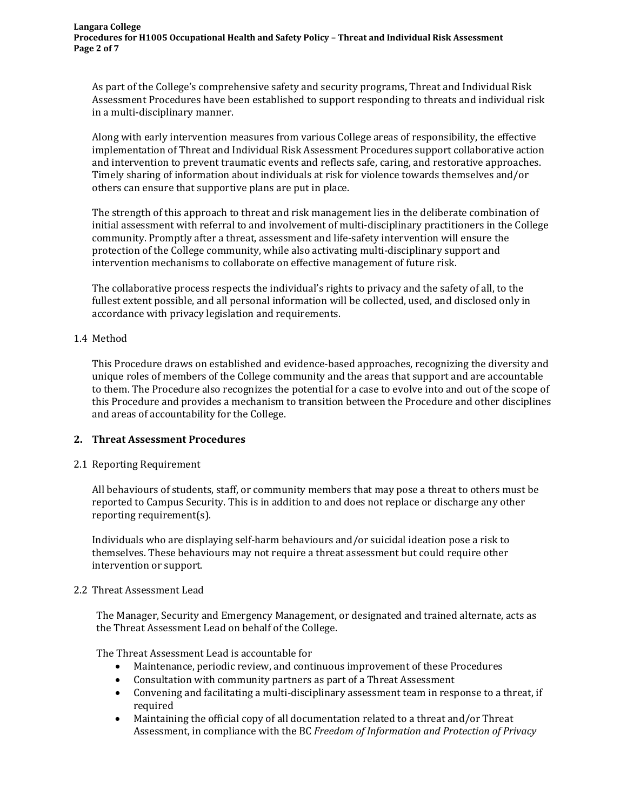As part of the College's comprehensive safety and security programs, Threat and Individual Risk Assessment Procedures have been established to support responding to threats and individual risk in a multi-disciplinary manner.

Along with early intervention measures from various College areas of responsibility, the effective implementation of Threat and Individual Risk Assessment Procedures support collaborative action and intervention to prevent traumatic events and reflects safe, caring, and restorative approaches. Timely sharing of information about individuals at risk for violence towards themselves and/or others can ensure that supportive plans are put in place.

The strength of this approach to threat and risk management lies in the deliberate combination of initial assessment with referral to and involvement of multi-disciplinary practitioners in the College community. Promptly after a threat, assessment and life-safety intervention will ensure the protection of the College community, while also activating multi-disciplinary support and intervention mechanisms to collaborate on effective management of future risk.

The collaborative process respects the individual's rights to privacy and the safety of all, to the fullest extent possible, and all personal information will be collected, used, and disclosed only in accordance with privacy legislation and requirements.

## 1.4 Method

This Procedure draws on established and evidence-based approaches, recognizing the diversity and unique roles of members of the College community and the areas that support and are accountable to them. The Procedure also recognizes the potential for a case to evolve into and out of the scope of this Procedure and provides a mechanism to transition between the Procedure and other disciplines and areas of accountability for the College.

## **2. Threat Assessment Procedures**

## 2.1 Reporting Requirement

All behaviours of students, staff, or community members that may pose a threat to others must be reported to Campus Security. This is in addition to and does not replace or discharge any other reporting requirement(s).

Individuals who are displaying self-harm behaviours and/or suicidal ideation pose a risk to themselves. These behaviours may not require a threat assessment but could require other intervention or support.

## 2.2 Threat Assessment Lead

The Manager, Security and Emergency Management, or designated and trained alternate, acts as the Threat Assessment Lead on behalf of the College.

The Threat Assessment Lead is accountable for

- Maintenance, periodic review, and continuous improvement of these Procedures
- Consultation with community partners as part of a Threat Assessment
- Convening and facilitating a multi-disciplinary assessment team in response to a threat, if required
- Maintaining the official copy of all documentation related to a threat and/or Threat Assessment, in compliance with the BC *Freedom of Information and Protection of Privacy*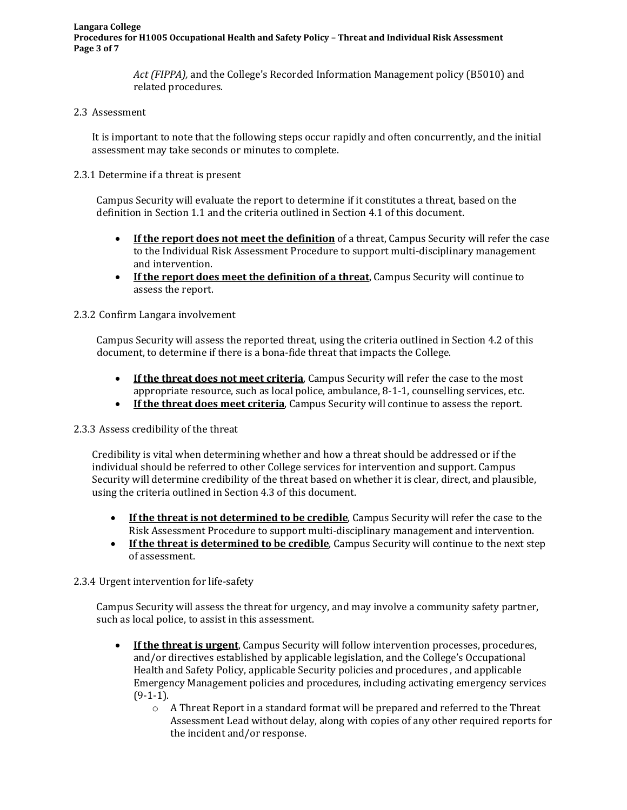**Langara College Procedures for H1005 Occupational Health and Safety Policy – Threat and Individual Risk Assessment Page 3 of 7**

> *Act (FIPPA),* and the College's Recorded Information Management policy (B5010) and related procedures.

### 2.3 Assessment

It is important to note that the following steps occur rapidly and often concurrently, and the initial assessment may take seconds or minutes to complete.

2.3.1 Determine if a threat is present

Campus Security will evaluate the report to determine if it constitutes a threat, based on the definition in Section 1.1 and the criteria outlined in Section 4.1 of this document.

- **If the report does not meet the definition** of a threat, Campus Security will refer the case to the Individual Risk Assessment Procedure to support multi-disciplinary management and intervention.
- **If the report does meet the definition of a threat**, Campus Security will continue to assess the report.

## 2.3.2 Confirm Langara involvement

Campus Security will assess the reported threat, using the criteria outlined in Section 4.2 of this document, to determine if there is a bona-fide threat that impacts the College.

- If the threat does not meet criteria, Campus Security will refer the case to the most appropriate resource, such as local police, ambulance, 8-1-1, counselling services, etc.
- **If the threat does meet criteria**, Campus Security will continue to assess the report.

## 2.3.3 Assess credibility of the threat

Credibility is vital when determining whether and how a threat should be addressed or if the individual should be referred to other College services for intervention and support. Campus Security will determine credibility of the threat based on whether it is clear, direct, and plausible, using the criteria outlined in Section 4.3 of this document.

- **If the threat is not determined to be credible**, Campus Security will refer the case to the Risk Assessment Procedure to support multi-disciplinary management and intervention.
- **If the threat is determined to be credible**, Campus Security will continue to the next step of assessment.

#### 2.3.4 Urgent intervention for life-safety

Campus Security will assess the threat for urgency, and may involve a community safety partner, such as local police, to assist in this assessment.

- **If the threat is urgent**, Campus Security will follow intervention processes, procedures, and/or directives established by applicable legislation, and the College's Occupational Health and Safety Policy, applicable Security policies and procedures , and applicable Emergency Management policies and procedures, including activating emergency services  $(9-1-1)$ .
	- o A Threat Report in a standard format will be prepared and referred to the Threat Assessment Lead without delay, along with copies of any other required reports for the incident and/or response.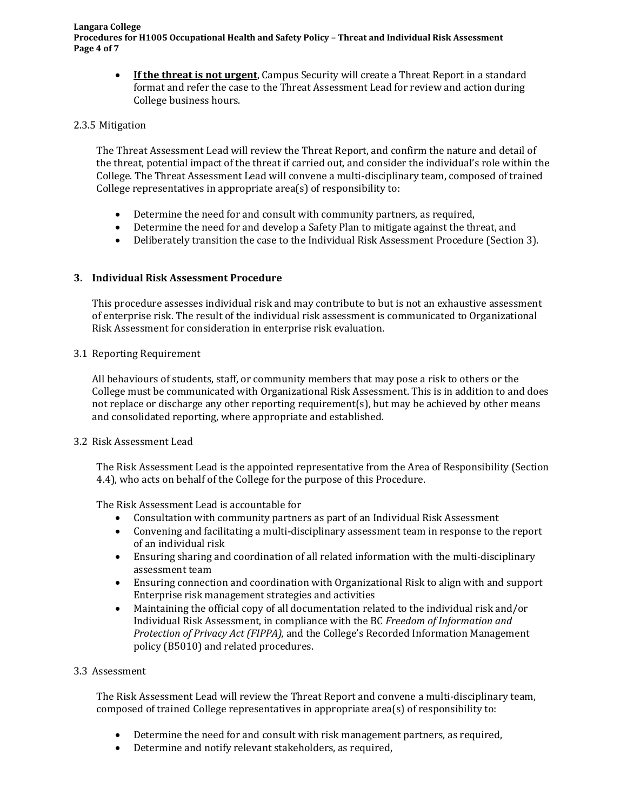**Langara College Procedures for H1005 Occupational Health and Safety Policy – Threat and Individual Risk Assessment Page 4 of 7**

• **If the threat is not urgent**, Campus Security will create a Threat Report in a standard format and refer the case to the Threat Assessment Lead for review and action during College business hours.

#### 2.3.5 Mitigation

The Threat Assessment Lead will review the Threat Report, and confirm the nature and detail of the threat, potential impact of the threat if carried out, and consider the individual's role within the College. The Threat Assessment Lead will convene a multi-disciplinary team, composed of trained College representatives in appropriate area(s) of responsibility to:

- Determine the need for and consult with community partners, as required,
- Determine the need for and develop a Safety Plan to mitigate against the threat, and
- Deliberately transition the case to the Individual Risk Assessment Procedure (Section 3).

## **3. Individual Risk Assessment Procedure**

This procedure assesses individual risk and may contribute to but is not an exhaustive assessment of enterprise risk. The result of the individual risk assessment is communicated to Organizational Risk Assessment for consideration in enterprise risk evaluation.

3.1 Reporting Requirement

All behaviours of students, staff, or community members that may pose a risk to others or the College must be communicated with Organizational Risk Assessment. This is in addition to and does not replace or discharge any other reporting requirement(s), but may be achieved by other means and consolidated reporting, where appropriate and established.

## 3.2 Risk Assessment Lead

The Risk Assessment Lead is the appointed representative from the Area of Responsibility (Section 4.4), who acts on behalf of the College for the purpose of this Procedure.

The Risk Assessment Lead is accountable for

- Consultation with community partners as part of an Individual Risk Assessment<br>• Convening and facilitating a multi-disciplinary assessment team in response to the
- Convening and facilitating a multi-disciplinary assessment team in response to the report of an individual risk
- Ensuring sharing and coordination of all related information with the multi-disciplinary assessment team
- Ensuring connection and coordination with Organizational Risk to align with and support Enterprise risk management strategies and activities
- Maintaining the official copy of all documentation related to the individual risk and/or Individual Risk Assessment, in compliance with the BC *Freedom of Information and Protection of Privacy Act (FIPPA),* and the College's Recorded Information Management policy (B5010) and related procedures.

## 3.3 Assessment

The Risk Assessment Lead will review the Threat Report and convene a multi-disciplinary team, composed of trained College representatives in appropriate area(s) of responsibility to:

- Determine the need for and consult with risk management partners, as required,
- Determine and notify relevant stakeholders, as required,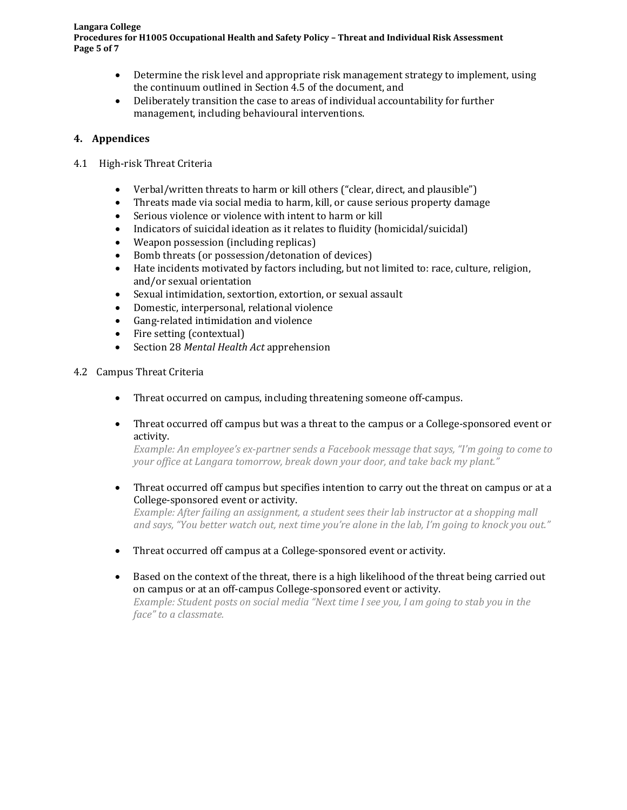#### **Langara College Procedures for H1005 Occupational Health and Safety Policy – Threat and Individual Risk Assessment Page 5 of 7**

- Determine the risk level and appropriate risk management strategy to implement, using the continuum outlined in Section 4.5 of the document, and
- Deliberately transition the case to areas of individual accountability for further management, including behavioural interventions.

## **4. Appendices**

- 4.1 High-risk Threat Criteria
	- Verbal/written threats to harm or kill others ("clear, direct, and plausible")
	- Threats made via social media to harm, kill, or cause serious property damage
	- Serious violence or violence with intent to harm or kill<br>• Indicators of suicidal ideation as it relates to fluidity (he
	- Indicators of suicidal ideation as it relates to fluidity (homicidal/suicidal)<br>• Weapon possession (including replicas)
	- Weapon possession (including replicas)
	- Bomb threats (or possession/detonation of devices)<br>• Hate incidents motivated by factors including, but no
	- Hate incidents motivated by factors including, but not limited to: race, culture, religion, and/or sexual orientation
	- Sexual intimidation, sextortion, extortion, or sexual assault
	- Domestic, interpersonal, relational violence
	- Gang-related intimidation and violence
	- Fire setting (contextual)<br>• Section 28 Mental Health
	- Section 28 *Mental Health Act* apprehension

## 4.2 Campus Threat Criteria

- Threat occurred on campus, including threatening someone off-campus.
- Threat occurred off campus but was a threat to the campus or a College-sponsored event or activity.

*Example: An employee's ex-partner sends a Facebook message that says, "I'm going to come to your office at Langara tomorrow, break down your door, and take back my plant."*

• Threat occurred off campus but specifies intention to carry out the threat on campus or at a College-sponsored event or activity.

*Example: After failing an assignment, a student sees their lab instructor at a shopping mall and says, "You better watch out, next time you're alone in the lab, I'm going to knock you out."*

- Threat occurred off campus at a College-sponsored event or activity.
- Based on the context of the threat, there is a high likelihood of the threat being carried out on campus or at an off-campus College-sponsored event or activity. *Example: Student posts on social media "Next time I see you, I am going to stab you in the face" to a classmate.*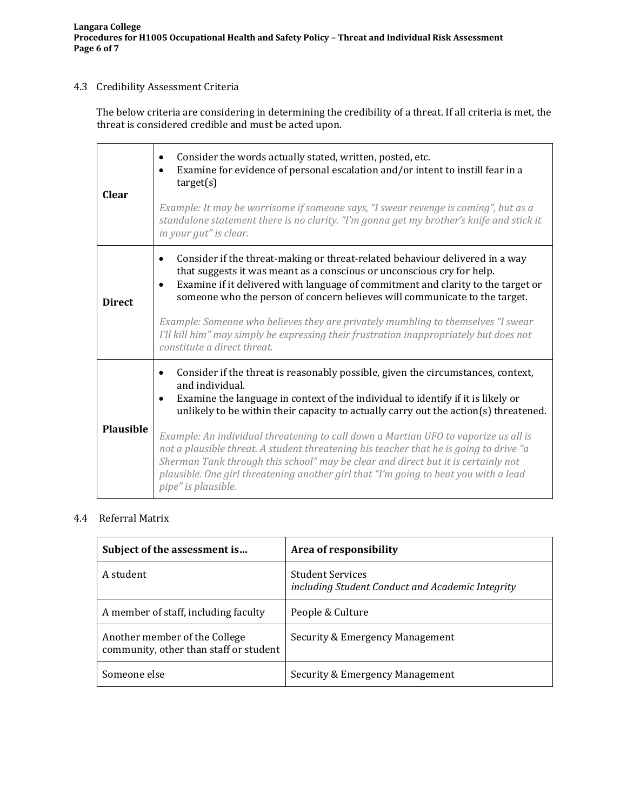# 4.3 Credibility Assessment Criteria

The below criteria are considering in determining the credibility of a threat. If all criteria is met, the threat is considered credible and must be acted upon.

| <b>Clear</b>     | Consider the words actually stated, written, posted, etc.<br>$\bullet$<br>Examine for evidence of personal escalation and/or intent to instill fear in a<br>$\bullet$<br>target(s)<br>Example: It may be worrisome if someone says, "I swear revenge is coming", but as a<br>standalone statement there is no clarity. "I'm gonna get my brother's knife and stick it<br>in your gut" is clear.                                                                                                                                                                                                                                                                                                    |  |
|------------------|----------------------------------------------------------------------------------------------------------------------------------------------------------------------------------------------------------------------------------------------------------------------------------------------------------------------------------------------------------------------------------------------------------------------------------------------------------------------------------------------------------------------------------------------------------------------------------------------------------------------------------------------------------------------------------------------------|--|
| <b>Direct</b>    | Consider if the threat-making or threat-related behaviour delivered in a way<br>$\bullet$<br>that suggests it was meant as a conscious or unconscious cry for help.<br>Examine if it delivered with language of commitment and clarity to the target or<br>$\bullet$<br>someone who the person of concern believes will communicate to the target.<br>Example: Someone who believes they are privately mumbling to themselves "I swear<br>I'll kill him" may simply be expressing their frustration inappropriately but does not<br>constitute a direct threat.                                                                                                                                    |  |
| <b>Plausible</b> | Consider if the threat is reasonably possible, given the circumstances, context,<br>$\bullet$<br>and individual.<br>Examine the language in context of the individual to identify if it is likely or<br>$\bullet$<br>unlikely to be within their capacity to actually carry out the action( $s$ ) threatened.<br>Example: An individual threatening to call down a Martian UFO to vaporize us all is<br>not a plausible threat. A student threatening his teacher that he is going to drive "a<br>Sherman Tank through this school" may be clear and direct but it is certainly not<br>plausible. One girl threatening another girl that "I'm going to beat you with a lead<br>pipe" is plausible. |  |

## 4.4 Referral Matrix

| Subject of the assessment is                                            | Area of responsibility                                                      |
|-------------------------------------------------------------------------|-----------------------------------------------------------------------------|
| A student                                                               | <b>Student Services</b><br>including Student Conduct and Academic Integrity |
| A member of staff, including faculty                                    | People & Culture                                                            |
| Another member of the College<br>community, other than staff or student | Security & Emergency Management                                             |
| Someone else                                                            | Security & Emergency Management                                             |